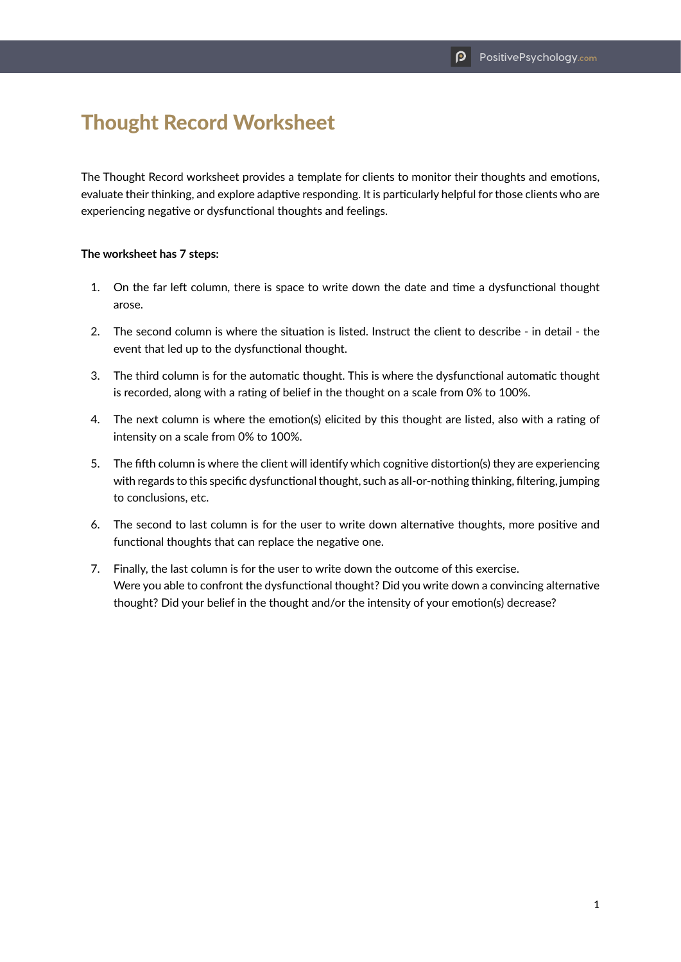## Thought Record Worksheet

The Thought Record worksheet provides a template for clients to monitor their thoughts and emotions, evaluate their thinking, and explore adaptive responding. It is particularly helpful for those clients who are experiencing negative or dysfunctional thoughts and feelings.

## **The worksheet has 7 steps:**

- 1. On the far left column, there is space to write down the date and time a dysfunctional thought arose.
- 2. The second column is where the situation is listed. Instruct the client to describe in detail the event that led up to the dysfunctional thought.
- 3. The third column is for the automatic thought. This is where the dysfunctional automatic thought is recorded, along with a rating of belief in the thought on a scale from 0% to 100%.
- 4. The next column is where the emotion(s) elicited by this thought are listed, also with a rating of intensity on a scale from 0% to 100%.
- 5. The fifth column is where the client will identify which cognitive distortion(s) they are experiencing with regards to this specific dysfunctional thought, such as all-or-nothing thinking, filtering, jumping to conclusions, etc.
- 6. The second to last column is for the user to write down alternative thoughts, more positive and functional thoughts that can replace the negative one.
- 7. Finally, the last column is for the user to write down the outcome of this exercise. Were you able to confront the dysfunctional thought? Did you write down a convincing alternative thought? Did your belief in the thought and/or the intensity of your emotion(s) decrease?